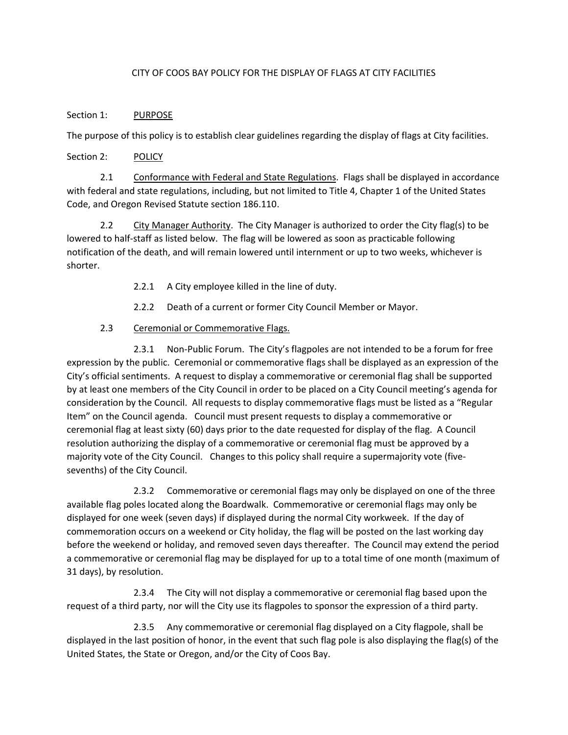## CITY OF COOS BAY POLICY FOR THE DISPLAY OF FLAGS AT CITY FACILITIES

## Section 1: PURPOSE

The purpose of this policy is to establish clear guidelines regarding the display of flags at City facilities.

Section 2: POLICY

2.1 Conformance with Federal and State Regulations. Flags shall be displayed in accordance with federal and state regulations, including, but not limited to Title 4, Chapter 1 of the United States Code, and Oregon Revised Statute section 186.110.

2.2 City Manager Authority. The City Manager is authorized to order the City flag(s) to be lowered to half-staff as listed below. The flag will be lowered as soon as practicable following notification of the death, and will remain lowered until internment or up to two weeks, whichever is shorter.

- 2.2.1 A City employee killed in the line of duty.
- 2.2.2 Death of a current or former City Council Member or Mayor.

## 2.3 Ceremonial or Commemorative Flags.

2.3.1 Non-Public Forum. The City's flagpoles are not intended to be a forum for free expression by the public. Ceremonial or commemorative flags shall be displayed as an expression of the City's official sentiments. A request to display a commemorative or ceremonial flag shall be supported by at least one members of the City Council in order to be placed on a City Council meeting's agenda for consideration by the Council. All requests to display commemorative flags must be listed as a "Regular Item" on the Council agenda. Council must present requests to display a commemorative or ceremonial flag at least sixty (60) days prior to the date requested for display of the flag. A Council resolution authorizing the display of a commemorative or ceremonial flag must be approved by a majority vote of the City Council. Changes to this policy shall require a supermajority vote (fivesevenths) of the City Council.

2.3.2 Commemorative or ceremonial flags may only be displayed on one of the three available flag poles located along the Boardwalk. Commemorative or ceremonial flags may only be displayed for one week (seven days) if displayed during the normal City workweek. If the day of commemoration occurs on a weekend or City holiday, the flag will be posted on the last working day before the weekend or holiday, and removed seven days thereafter. The Council may extend the period a commemorative or ceremonial flag may be displayed for up to a total time of one month (maximum of 31 days), by resolution.

2.3.4 The City will not display a commemorative or ceremonial flag based upon the request of a third party, nor will the City use its flagpoles to sponsor the expression of a third party.

2.3.5 Any commemorative or ceremonial flag displayed on a City flagpole, shall be displayed in the last position of honor, in the event that such flag pole is also displaying the flag(s) of the United States, the State or Oregon, and/or the City of Coos Bay.